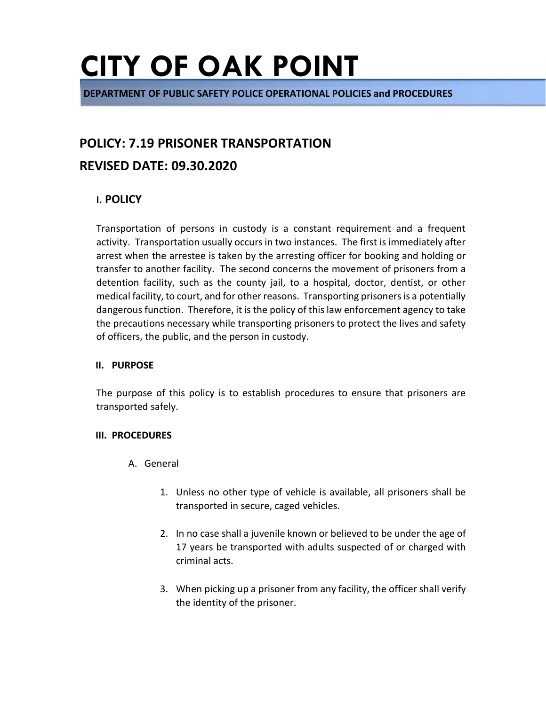**DEPARTMENT OF PUBLIC SAFETY POLICE OPERATIONAL POLICIES and PROCEDURES** 

#### **POLICY: 7.19 PRISONER TRANSPORTATION**

#### **REVISED DATE: 09.30.2020**

#### **I. POLICY**

Transportation of persons in custody is a constant requirement and a frequent activity. Transportation usually occurs in two instances. The first is immediately after arrest when the arrestee is taken by the arresting officer for booking and holding or transfer to another facility. The second concerns the movement of prisoners from a detention facility, such as the county jail, to a hospital, doctor, dentist, or other medical facility, to court, and for other reasons. Transporting prisoners is a potentially dangerous function. Therefore, it is the policy of this law enforcement agency to take the precautions necessary while transporting prisoners to protect the lives and safety of officers, the public, and the person in custody.

#### **II. PURPOSE**

The purpose of this policy is to establish procedures to ensure that prisoners are transported safely.

#### **III. PROCEDURES**

- A. General
	- 1. Unless no other type of vehicle is available, all prisoners shall be transported in secure, caged vehicles.
	- 2. In no case shall a juvenile known or believed to be under the age of 17 years be transported with adults suspected of or charged with criminal acts.
	- 3. When picking up a prisoner from any facility, the officer shall verify the identity of the prisoner.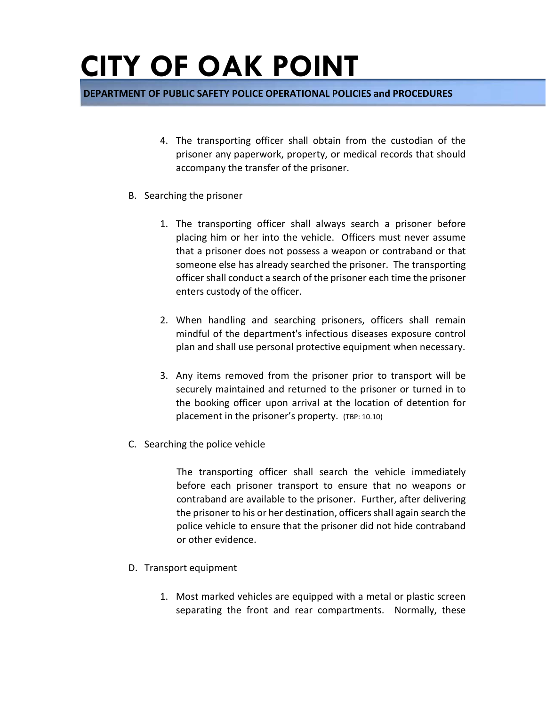**DEPARTMENT OF PUBLIC SAFETY POLICE OPERATIONAL POLICIES and PROCEDURES** 

- 4. The transporting officer shall obtain from the custodian of the prisoner any paperwork, property, or medical records that should accompany the transfer of the prisoner.
- B. Searching the prisoner
	- 1. The transporting officer shall always search a prisoner before placing him or her into the vehicle. Officers must never assume that a prisoner does not possess a weapon or contraband or that someone else has already searched the prisoner. The transporting officer shall conduct a search of the prisoner each time the prisoner enters custody of the officer.
	- 2. When handling and searching prisoners, officers shall remain mindful of the department's infectious diseases exposure control plan and shall use personal protective equipment when necessary.
	- 3. Any items removed from the prisoner prior to transport will be securely maintained and returned to the prisoner or turned in to the booking officer upon arrival at the location of detention for placement in the prisoner's property. (TBP: 10.10)
- C. Searching the police vehicle

The transporting officer shall search the vehicle immediately before each prisoner transport to ensure that no weapons or contraband are available to the prisoner. Further, after delivering the prisoner to his or her destination, officers shall again search the police vehicle to ensure that the prisoner did not hide contraband or other evidence.

- D. Transport equipment
	- 1. Most marked vehicles are equipped with a metal or plastic screen separating the front and rear compartments. Normally, these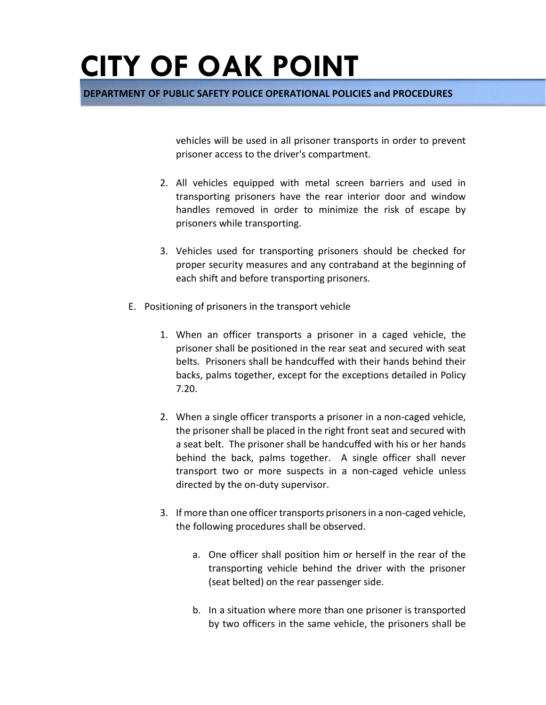**DEPARTMENT OF PUBLIC SAFETY POLICE OPERATIONAL POLICIES and PROCEDURES** 

vehicles will be used in all prisoner transports in order to prevent prisoner access to the driver's compartment.

- 2. All vehicles equipped with metal screen barriers and used in transporting prisoners have the rear interior door and window handles removed in order to minimize the risk of escape by prisoners while transporting.
- 3. Vehicles used for transporting prisoners should be checked for proper security measures and any contraband at the beginning of each shift and before transporting prisoners.
- E. Positioning of prisoners in the transport vehicle
	- 1. When an officer transports a prisoner in a caged vehicle, the prisoner shall be positioned in the rear seat and secured with seat belts. Prisoners shall be handcuffed with their hands behind their backs, palms together, except for the exceptions detailed in Policy 7.20.
	- 2. When a single officer transports a prisoner in a non-caged vehicle, the prisoner shall be placed in the right front seat and secured with a seat belt. The prisoner shall be handcuffed with his or her hands behind the back, palms together. A single officer shall never transport two or more suspects in a non-caged vehicle unless directed by the on-duty supervisor.
	- 3. If more than one officer transports prisoners in a non-caged vehicle, the following procedures shall be observed.
		- a. One officer shall position him or herself in the rear of the transporting vehicle behind the driver with the prisoner (seat belted) on the rear passenger side.
		- b. In a situation where more than one prisoner is transported by two officers in the same vehicle, the prisoners shall be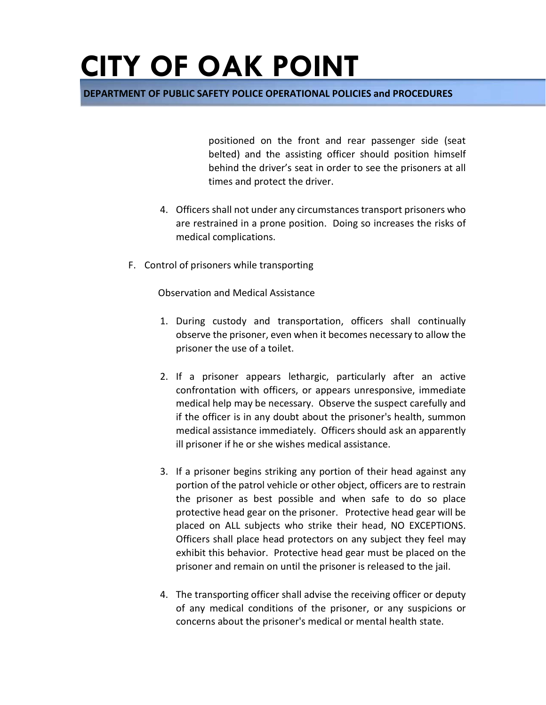**DEPARTMENT OF PUBLIC SAFETY POLICE OPERATIONAL POLICIES and PROCEDURES** 

positioned on the front and rear passenger side (seat belted) and the assisting officer should position himself behind the driver's seat in order to see the prisoners at all times and protect the driver.

- 4. Officers shall not under any circumstances transport prisoners who are restrained in a prone position. Doing so increases the risks of medical complications.
- F. Control of prisoners while transporting

Observation and Medical Assistance

- 1. During custody and transportation, officers shall continually observe the prisoner, even when it becomes necessary to allow the prisoner the use of a toilet.
- 2. If a prisoner appears lethargic, particularly after an active confrontation with officers, or appears unresponsive, immediate medical help may be necessary. Observe the suspect carefully and if the officer is in any doubt about the prisoner's health, summon medical assistance immediately. Officers should ask an apparently ill prisoner if he or she wishes medical assistance.
- 3. If a prisoner begins striking any portion of their head against any portion of the patrol vehicle or other object, officers are to restrain the prisoner as best possible and when safe to do so place protective head gear on the prisoner. Protective head gear will be placed on ALL subjects who strike their head, NO EXCEPTIONS. Officers shall place head protectors on any subject they feel may exhibit this behavior. Protective head gear must be placed on the prisoner and remain on until the prisoner is released to the jail.
- 4. The transporting officer shall advise the receiving officer or deputy of any medical conditions of the prisoner, or any suspicions or concerns about the prisoner's medical or mental health state.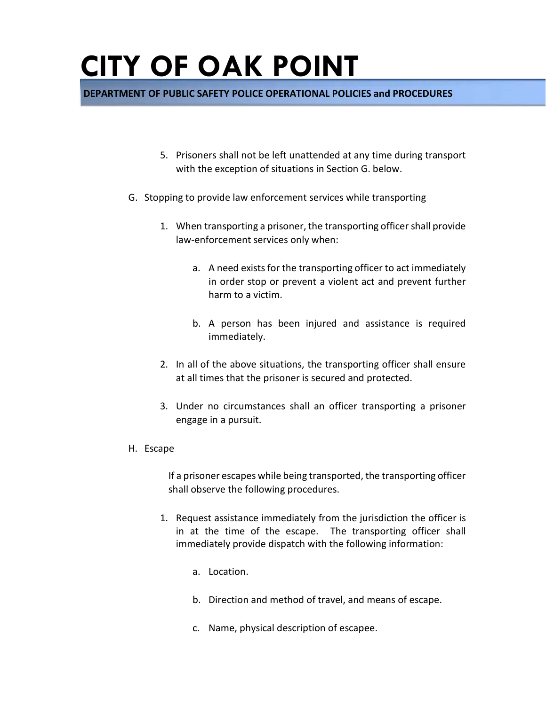**DEPARTMENT OF PUBLIC SAFETY POLICE OPERATIONAL POLICIES and PROCEDURES** 

- 5. Prisoners shall not be left unattended at any time during transport with the exception of situations in Section G. below.
- G. Stopping to provide law enforcement services while transporting
	- 1. When transporting a prisoner, the transporting officer shall provide law-enforcement services only when:
		- a. A need exists for the transporting officer to act immediately in order stop or prevent a violent act and prevent further harm to a victim.
		- b. A person has been injured and assistance is required immediately.
	- 2. In all of the above situations, the transporting officer shall ensure at all times that the prisoner is secured and protected.
	- 3. Under no circumstances shall an officer transporting a prisoner engage in a pursuit.
- H. Escape

If a prisoner escapes while being transported, the transporting officer shall observe the following procedures.

- 1. Request assistance immediately from the jurisdiction the officer is in at the time of the escape. The transporting officer shall immediately provide dispatch with the following information:
	- a. Location.
	- b. Direction and method of travel, and means of escape.
	- c. Name, physical description of escapee.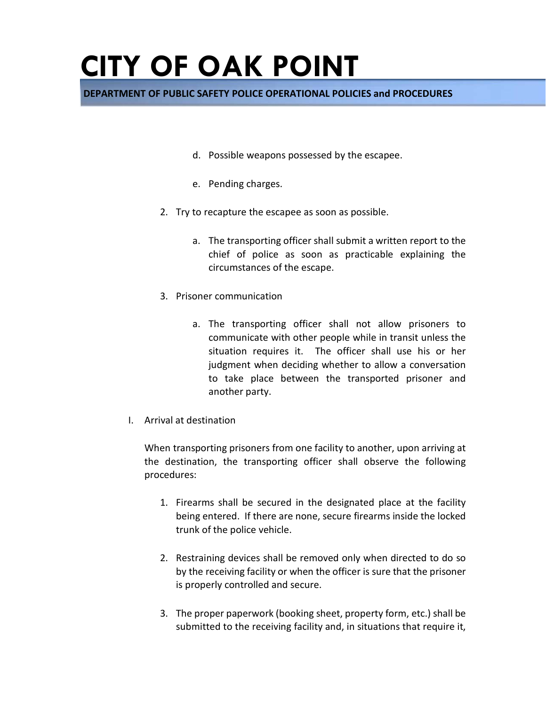**DEPARTMENT OF PUBLIC SAFETY POLICE OPERATIONAL POLICIES and PROCEDURES** 

- d. Possible weapons possessed by the escapee.
- e. Pending charges.
- 2. Try to recapture the escapee as soon as possible.
	- a. The transporting officer shall submit a written report to the chief of police as soon as practicable explaining the circumstances of the escape.
- 3. Prisoner communication
	- a. The transporting officer shall not allow prisoners to communicate with other people while in transit unless the situation requires it. The officer shall use his or her judgment when deciding whether to allow a conversation to take place between the transported prisoner and another party.
- I. Arrival at destination

When transporting prisoners from one facility to another, upon arriving at the destination, the transporting officer shall observe the following procedures:

- 1. Firearms shall be secured in the designated place at the facility being entered. If there are none, secure firearms inside the locked trunk of the police vehicle.
- 2. Restraining devices shall be removed only when directed to do so by the receiving facility or when the officer is sure that the prisoner is properly controlled and secure.
- 3. The proper paperwork (booking sheet, property form, etc.) shall be submitted to the receiving facility and, in situations that require it,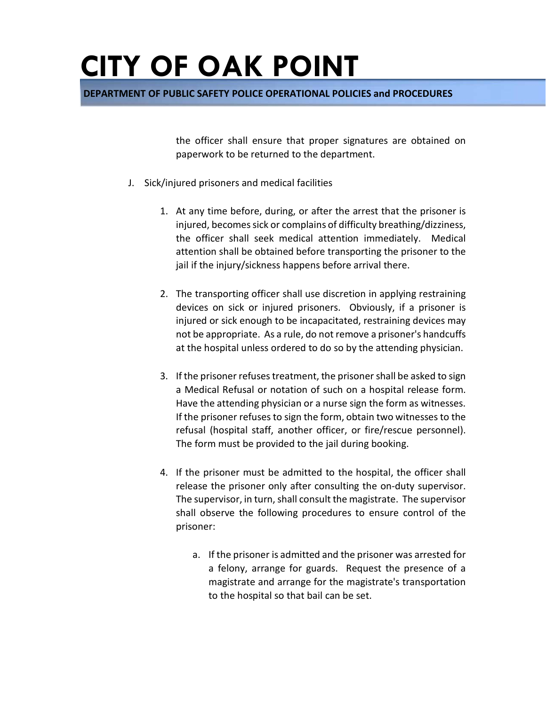**DEPARTMENT OF PUBLIC SAFETY POLICE OPERATIONAL POLICIES and PROCEDURES** 

the officer shall ensure that proper signatures are obtained on paperwork to be returned to the department.

- J. Sick/injured prisoners and medical facilities
	- 1. At any time before, during, or after the arrest that the prisoner is injured, becomes sick or complains of difficulty breathing/dizziness, the officer shall seek medical attention immediately. Medical attention shall be obtained before transporting the prisoner to the jail if the injury/sickness happens before arrival there.
	- 2. The transporting officer shall use discretion in applying restraining devices on sick or injured prisoners. Obviously, if a prisoner is injured or sick enough to be incapacitated, restraining devices may not be appropriate. As a rule, do not remove a prisoner's handcuffs at the hospital unless ordered to do so by the attending physician.
	- 3. If the prisoner refuses treatment, the prisoner shall be asked to sign a Medical Refusal or notation of such on a hospital release form. Have the attending physician or a nurse sign the form as witnesses. If the prisoner refuses to sign the form, obtain two witnesses to the refusal (hospital staff, another officer, or fire/rescue personnel). The form must be provided to the jail during booking.
	- 4. If the prisoner must be admitted to the hospital, the officer shall release the prisoner only after consulting the on-duty supervisor. The supervisor, in turn, shall consult the magistrate. The supervisor shall observe the following procedures to ensure control of the prisoner:
		- a. If the prisoner is admitted and the prisoner was arrested for a felony, arrange for guards. Request the presence of a magistrate and arrange for the magistrate's transportation to the hospital so that bail can be set.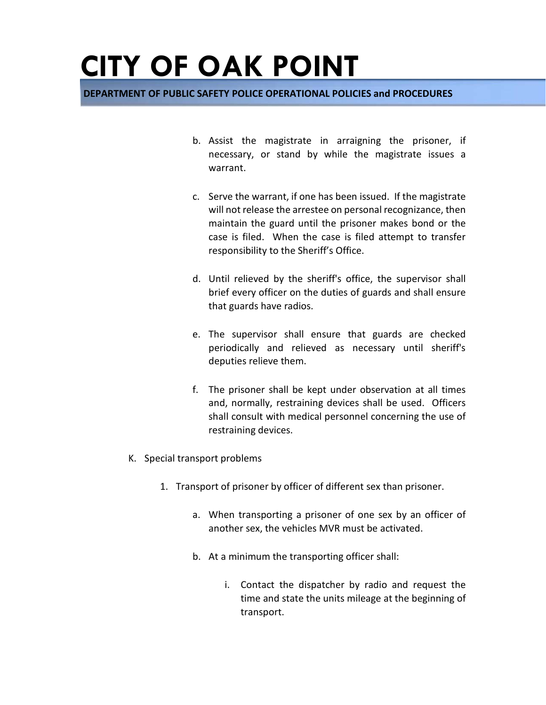**DEPARTMENT OF PUBLIC SAFETY POLICE OPERATIONAL POLICIES and PROCEDURES** 

- b. Assist the magistrate in arraigning the prisoner, if necessary, or stand by while the magistrate issues a warrant.
- c. Serve the warrant, if one has been issued. If the magistrate will not release the arrestee on personal recognizance, then maintain the guard until the prisoner makes bond or the case is filed. When the case is filed attempt to transfer responsibility to the Sheriff's Office.
- d. Until relieved by the sheriff's office, the supervisor shall brief every officer on the duties of guards and shall ensure that guards have radios.
- e. The supervisor shall ensure that guards are checked periodically and relieved as necessary until sheriff's deputies relieve them.
- f. The prisoner shall be kept under observation at all times and, normally, restraining devices shall be used. Officers shall consult with medical personnel concerning the use of restraining devices.
- K. Special transport problems
	- 1. Transport of prisoner by officer of different sex than prisoner.
		- a. When transporting a prisoner of one sex by an officer of another sex, the vehicles MVR must be activated.
		- b. At a minimum the transporting officer shall:
			- i. Contact the dispatcher by radio and request the time and state the units mileage at the beginning of transport.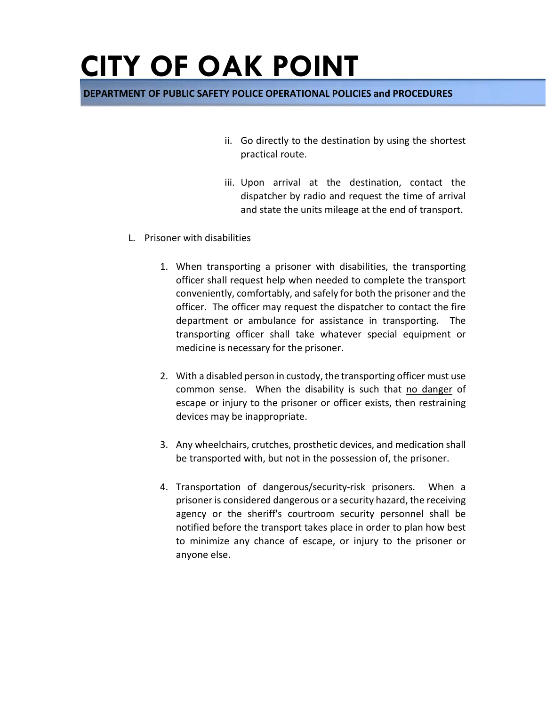#### **DEPARTMENT OF PUBLIC SAFETY POLICE OPERATIONAL POLICIES and PROCEDURES**

- ii. Go directly to the destination by using the shortest practical route.
- iii. Upon arrival at the destination, contact the dispatcher by radio and request the time of arrival and state the units mileage at the end of transport.
- L. Prisoner with disabilities
	- 1. When transporting a prisoner with disabilities, the transporting officer shall request help when needed to complete the transport conveniently, comfortably, and safely for both the prisoner and the officer. The officer may request the dispatcher to contact the fire department or ambulance for assistance in transporting. The transporting officer shall take whatever special equipment or medicine is necessary for the prisoner.
	- 2. With a disabled person in custody, the transporting officer must use common sense. When the disability is such that no danger of escape or injury to the prisoner or officer exists, then restraining devices may be inappropriate.
	- 3. Any wheelchairs, crutches, prosthetic devices, and medication shall be transported with, but not in the possession of, the prisoner.
	- 4. Transportation of dangerous/security-risk prisoners. When a prisoner is considered dangerous or a security hazard, the receiving agency or the sheriff's courtroom security personnel shall be notified before the transport takes place in order to plan how best to minimize any chance of escape, or injury to the prisoner or anyone else.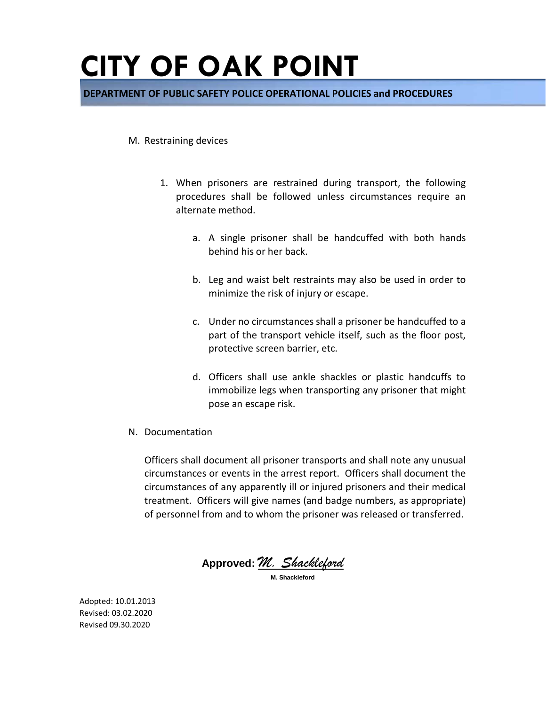**DEPARTMENT OF PUBLIC SAFETY POLICE OPERATIONAL POLICIES and PROCEDURES** 

#### M. Restraining devices

- 1. When prisoners are restrained during transport, the following procedures shall be followed unless circumstances require an alternate method.
	- a. A single prisoner shall be handcuffed with both hands behind his or her back.
	- b. Leg and waist belt restraints may also be used in order to minimize the risk of injury or escape.
	- c. Under no circumstances shall a prisoner be handcuffed to a part of the transport vehicle itself, such as the floor post, protective screen barrier, etc.
	- d. Officers shall use ankle shackles or plastic handcuffs to immobilize legs when transporting any prisoner that might pose an escape risk.
- N. Documentation

Officers shall document all prisoner transports and shall note any unusual circumstances or events in the arrest report. Officers shall document the circumstances of any apparently ill or injured prisoners and their medical treatment. Officers will give names (and badge numbers, as appropriate) of personnel from and to whom the prisoner was released or transferred.

**Approved:** *M. Shackleford* **M. Shackleford**

Adopted: 10.01.2013 Revised: 03.02.2020 Revised 09.30.2020